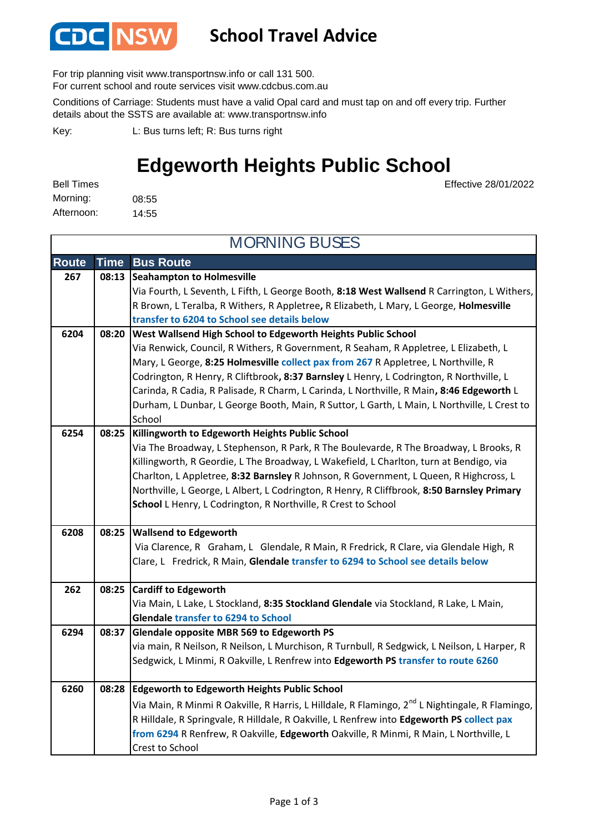

## **School Travel Advice**

For trip planning visit www.transportnsw.info or call 131 500.

For current school and route services visit www.cdcbus.com.au

Conditions of Carriage: Students must have a valid Opal card and must tap on and off every trip. Further details about the SSTS are available at: www.transportnsw.info

L: Bus turns left; R: Bus turns right Key:

## **Edgeworth Heights Public School**

Effective 28/01/2022

08:55 14:55 Morning: Bell Times Afternoon:

**Route Time Bus Route Seahampton to Holmesville 267 08:13** Via Fourth, L Seventh, L Fifth, L George Booth, **8:18 West Wallsend** R Carrington, L Withers, R Brown, L Teralba, R Withers, R Appletree**,** R Elizabeth, L Mary, L George, **Holmesville transfer to 6204 to School see details below West Wallsend High School to Edgeworth Heights Public School** Via Renwick, Council, R Withers, R Government, R Seaham, R Appletree, L Elizabeth, L Mary, L George, **8:25 Holmesville collect pax from 267** R Appletree, L Northville, R Codrington, R Henry, R Cliftbrook**, 8:37 Barnsley** L Henry, L Codrington, R Northville, L Carinda, R Cadia, R Palisade, R Charm, L Carinda, L Northville, R Main**, 8:46 Edgeworth** L Durham, L Dunbar, L George Booth, Main, R Suttor, L Garth, L Main, L Northville, L Crest to School **Killingworth to Edgeworth Heights Public School** Via The Broadway, L Stephenson, R Park, R The Boulevarde, R The Broadway, L Brooks, R Killingworth, R Geordie, L The Broadway, L Wakefield, L Charlton, turn at Bendigo, via Charlton, L Appletree, **8:32 Barnsley** R Johnson, R Government, L Queen, R Highcross, L Northville, L George, L Albert, L Codrington, R Henry, R Cliffbrook, **8:50 Barnsley Primary School** L Henry, L Codrington, R Northville, R Crest to School **Wallsend to Edgeworth** Via Clarence, R Graham, L Glendale, R Main, R Fredrick, R Clare, via Glendale High, R Clare, L Fredrick, R Main, **Glendale transfer to 6294 to School see details below Cardiff to Edgeworth 262 08:25** Via Main, L Lake, L Stockland, **8:35 Stockland Glendale** via Stockland, R Lake, L Main, **Glendale transfer to 6294 to School Glendale opposite MBR 569 to Edgeworth PS** via main, R Neilson, R Neilson, L Murchison, R Turnbull, R Sedgwick, L Neilson, L Harper, R Sedgwick, L Minmi, R Oakville, L Renfrew into **Edgeworth PS transfer to route 6260 Edgeworth to Edgeworth Heights Public School 6260 08:28** Via Main, R Minmi R Oakville, R Harris, L Hilldale, R Flamingo, 2<sup>nd</sup> L Nightingale, R Flamingo, R Hilldale, R Springvale, R Hilldale, R Oakville, L Renfrew into **Edgeworth PS collect pax from 6294** R Renfrew, R Oakville, **Edgeworth** Oakville, R Minmi, R Main, L Northville, L Crest to School MORNING BUSES **6204 08:20 6254 08:25 6294 6208 08:25 08:37**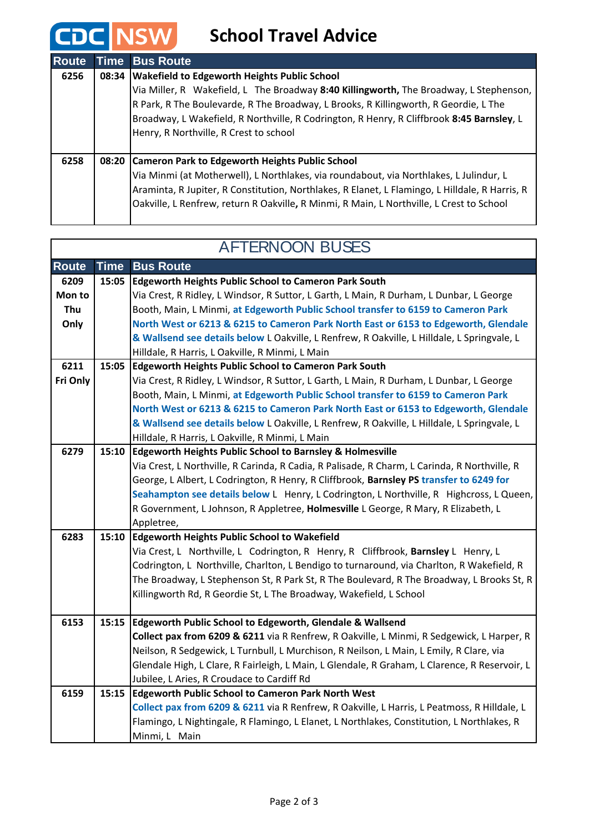## **CDC** NSW School Travel Advice

| <b>Route</b> | Time  | <b>Bus Route</b>                                                                                                                                                                                                                                                                                                                                                             |
|--------------|-------|------------------------------------------------------------------------------------------------------------------------------------------------------------------------------------------------------------------------------------------------------------------------------------------------------------------------------------------------------------------------------|
| 6256         | 08:34 | <b>Wakefield to Edgeworth Heights Public School</b><br>Via Miller, R Wakefield, L The Broadway 8:40 Killingworth, The Broadway, L Stephenson,<br>R Park, R The Boulevarde, R The Broadway, L Brooks, R Killingworth, R Geordie, L The<br>Broadway, L Wakefield, R Northville, R Codrington, R Henry, R Cliffbrook 8:45 Barnsley, L<br>Henry, R Northville, R Crest to school |
| 6258         |       | 08:20 Cameron Park to Edgeworth Heights Public School<br>Via Minmi (at Motherwell), L Northlakes, via roundabout, via Northlakes, L Julindur, L<br>Araminta, R Jupiter, R Constitution, Northlakes, R Elanet, L Flamingo, L Hilldale, R Harris, R<br>Oakville, L Renfrew, return R Oakville, R Minmi, R Main, L Northville, L Crest to School                                |

| <b>AFTERNOON BUSES</b> |       |                                                                                                                                                |  |  |
|------------------------|-------|------------------------------------------------------------------------------------------------------------------------------------------------|--|--|
| <b>Route</b>           | Time  | <b>Bus Route</b>                                                                                                                               |  |  |
| 6209                   | 15:05 | <b>Edgeworth Heights Public School to Cameron Park South</b>                                                                                   |  |  |
| Mon to                 |       | Via Crest, R Ridley, L Windsor, R Suttor, L Garth, L Main, R Durham, L Dunbar, L George                                                        |  |  |
| Thu                    |       | Booth, Main, L Minmi, at Edgeworth Public School transfer to 6159 to Cameron Park                                                              |  |  |
| Only                   |       | North West or 6213 & 6215 to Cameron Park North East or 6153 to Edgeworth, Glendale                                                            |  |  |
|                        |       | & Wallsend see details below L Oakville, L Renfrew, R Oakville, L Hilldale, L Springvale, L                                                    |  |  |
|                        |       | Hilldale, R Harris, L Oakville, R Minmi, L Main                                                                                                |  |  |
| 6211                   | 15:05 | <b>Edgeworth Heights Public School to Cameron Park South</b>                                                                                   |  |  |
| Fri Only               |       | Via Crest, R Ridley, L Windsor, R Suttor, L Garth, L Main, R Durham, L Dunbar, L George                                                        |  |  |
|                        |       | Booth, Main, L Minmi, at Edgeworth Public School transfer to 6159 to Cameron Park                                                              |  |  |
|                        |       | North West or 6213 & 6215 to Cameron Park North East or 6153 to Edgeworth, Glendale                                                            |  |  |
|                        |       | & Wallsend see details below L Oakville, L Renfrew, R Oakville, L Hilldale, L Springvale, L<br>Hilldale, R Harris, L Oakville, R Minmi, L Main |  |  |
| 6279                   | 15:10 | <b>Edgeworth Heights Public School to Barnsley &amp; Holmesville</b>                                                                           |  |  |
|                        |       | Via Crest, L Northville, R Carinda, R Cadia, R Palisade, R Charm, L Carinda, R Northville, R                                                   |  |  |
|                        |       | George, L Albert, L Codrington, R Henry, R Cliffbrook, Barnsley PS transfer to 6249 for                                                        |  |  |
|                        |       | Seahampton see details below L Henry, L Codrington, L Northville, R Highcross, L Queen,                                                        |  |  |
|                        |       | R Government, L Johnson, R Appletree, Holmesville L George, R Mary, R Elizabeth, L                                                             |  |  |
|                        |       | Appletree,                                                                                                                                     |  |  |
| 6283                   | 15:10 | <b>Edgeworth Heights Public School to Wakefield</b>                                                                                            |  |  |
|                        |       | Via Crest, L Northville, L Codrington, R Henry, R Cliffbrook, Barnsley L Henry, L                                                              |  |  |
|                        |       | Codrington, L Northville, Charlton, L Bendigo to turnaround, via Charlton, R Wakefield, R                                                      |  |  |
|                        |       | The Broadway, L Stephenson St, R Park St, R The Boulevard, R The Broadway, L Brooks St, R                                                      |  |  |
|                        |       | Killingworth Rd, R Geordie St, L The Broadway, Wakefield, L School                                                                             |  |  |
| 6153                   | 15:15 | <b>Edgeworth Public School to Edgeworth, Glendale &amp; Wallsend</b>                                                                           |  |  |
|                        |       | Collect pax from 6209 & 6211 via R Renfrew, R Oakville, L Minmi, R Sedgewick, L Harper, R                                                      |  |  |
|                        |       | Neilson, R Sedgewick, L Turnbull, L Murchison, R Neilson, L Main, L Emily, R Clare, via                                                        |  |  |
|                        |       | Glendale High, L Clare, R Fairleigh, L Main, L Glendale, R Graham, L Clarence, R Reservoir, L                                                  |  |  |
|                        |       | Jubilee, L Aries, R Croudace to Cardiff Rd                                                                                                     |  |  |
| 6159                   | 15:15 | <b>Edgeworth Public School to Cameron Park North West</b>                                                                                      |  |  |
|                        |       | Collect pax from 6209 & 6211 via R Renfrew, R Oakville, L Harris, L Peatmoss, R Hilldale, L                                                    |  |  |
|                        |       | Flamingo, L Nightingale, R Flamingo, L Elanet, L Northlakes, Constitution, L Northlakes, R                                                     |  |  |
|                        |       | Minmi, L Main                                                                                                                                  |  |  |